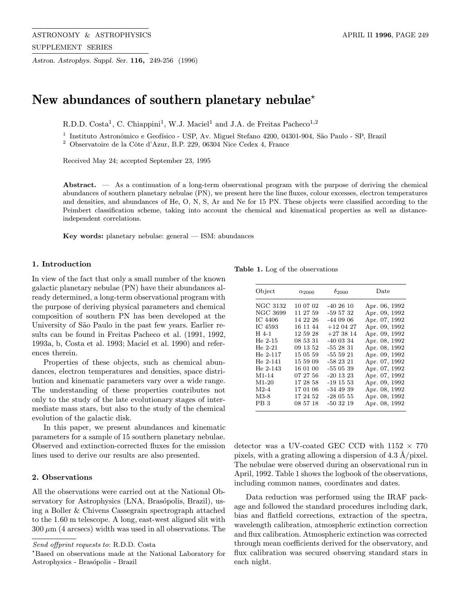Astron. Astrophys. Suppl. Ser. 116, 249-256 (1996)

# New abundances of southern planetary nebulae<sup> $\star$ </sup>

R.D.D. Costa<sup>1</sup>, C. Chiappini<sup>1</sup>, W.J. Maciel<sup>1</sup> and J.A. de Freitas Pacheco<sup>1,2</sup>

<sup>1</sup> Instituto Astronômico e Geofísico - USP, Av. Miguel Stefano 4200, 04301-904, São Paulo - SP, Brazil

 $^2$  Observatoire de la Côte d'Azur, B.P. 229, 06304 Nice Cedex 4, France

Received May 24; accepted September 23, 1995

Abstract. — As a continuation of a long-term observational program with the purpose of deriving the chemical abundances of southern planetary nebulae (PN), we present here the line fluxes, colour excesses, electron temperatures and densities, and abundances of He, O, N, S, Ar and Ne for 15 PN. These objects were classified according to the Peimbert classification scheme, taking into account the chemical and kinematical properties as well as distanceindependent correlations.

Key words: planetary nebulae: general — ISM: abundances

#### 1. Introduction

In view of the fact that only a small number of the known galactic planetary nebulae (PN) have their abundances already determined, a long-term observational program with the purpose of deriving physical parameters and chemical composition of southern PN has been developed at the University of São Paulo in the past few years. Earlier results can be found in Freitas Pacheco et al. (1991, 1992, 1993a, b, Costa et al. 1993; Maciel et al. 1990) and references therein.

Properties of these objects, such as chemical abundances, electron temperatures and densities, space distribution and kinematic parameters vary over a wide range. The understanding of these properties contributes not only to the study of the late evolutionary stages of intermediate mass stars, but also to the study of the chemical evolution of the galactic disk.

In this paper, we present abundances and kinematic parameters for a sample of 15 southern planetary nebulae. Observed and extinction-corrected fluxes for the emission lines used to derive our results are also presented.

## 2. Observations

All the observations were carried out at the National Observatory for Astrophysics (LNA, Brasópolis, Brazil), using a Boller & Chivens Cassegrain spectrograph attached to the 1.60 m telescope. A long, east-west aligned slit with  $300 \mu m$  (4 arcsecs) width was used in all observations. The

Table 1. Log of the observations

| Object                                                                    | $\alpha_{2000}$                                                      | $\delta_{2000}$                                                            | Date                                                                                               |
|---------------------------------------------------------------------------|----------------------------------------------------------------------|----------------------------------------------------------------------------|----------------------------------------------------------------------------------------------------|
| NGC 3132<br>NGC 3699<br>IC 4406<br>IC 4593                                | 10 07 02<br>11 27 59<br>14 22 26<br>16 11 44                         | $-402610$<br>$-595732$<br>$-440906$<br>$+120427$                           | Apr. 06, 1992<br>Apr. 09, 1992<br>Apr. 07, 1992<br>Apr. 09, 1992                                   |
| H 4-1<br>He $2-15$<br>$He 2-21$<br>$He 2-117$<br>$He 2-141$<br>$He$ 2-143 | 12 59 28<br>08 53 31<br>09 13 52<br>15 05 59<br>15 59 09<br>16 01 00 | $+273814$<br>$-400334$<br>$-552831$<br>$-555921$<br>$-582321$<br>$-550539$ | Apr. 09, 1992<br>Apr. 08, 1992<br>Apr. 08, 1992<br>Apr. 09, 1992<br>Apr. 07, 1992                  |
| $M1-14$<br>$M1-20$<br>$M2-4$<br>$M3-8$<br>PB <sub>3</sub>                 | 07 27 56<br>17 28 58<br>17 01 06<br>17 24 52<br>08 57 18             | $-201323$<br>$-191553$<br>$-344939$<br>$-280555$<br>$-503219$              | Apr. 07, 1992<br>Apr. 07, 1992<br>Apr. 09, 1992<br>Apr. 08, 1992<br>Apr. 08, 1992<br>Apr. 08, 1992 |

detector was a UV-coated GEC CCD with  $1152 \times 770$ pixels, with a grating allowing a dispersion of 4.3  $\AA$ /pixel. The nebulae were observed during an observational run in April, 1992. Table 1 shows the logbook of the observations, including common names, coordinates and dates.

Data reduction was performed using the IRAF package and followed the standard procedures including dark, bias and flatfield corrections, extraction of the spectra, wavelength calibration, atmospheric extinction correction and flux calibration. Atmospheric extinction was corrected through mean coefficients derived for the observatory, and flux calibration was secured observing standard stars in each night.

Send offprint requests to: R.D.D. Costa

<sup>?</sup>Based on observations made at the National Laboratory for Astrophysics - Brasópolis - Brazil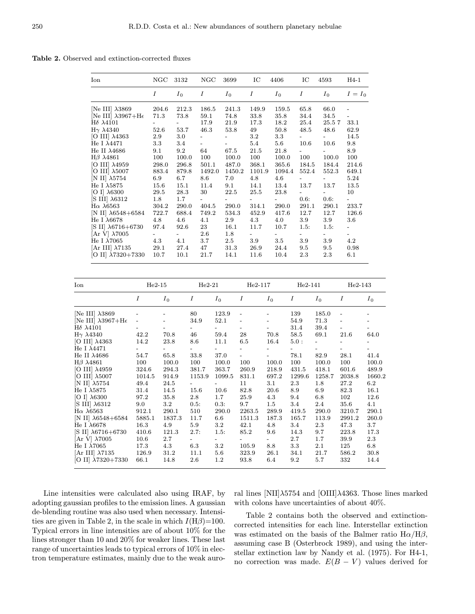Table 2. Observed and extinction-corrected fluxes

| Ion                                  | NGC              | 3132    | NGC                      | 3699                     | IC      | 4406    | IC                       | 4593   | $H4-1$                   |
|--------------------------------------|------------------|---------|--------------------------|--------------------------|---------|---------|--------------------------|--------|--------------------------|
|                                      | $\boldsymbol{I}$ | $I_0$   | Ι                        | $I_0$                    | Ι       | $I_0$   | Ι                        | $I_0$  | $I = I_0$                |
| [Ne III] $\lambda$ 3869              | 204.6            | 212.3   | 186.5                    | 241.3                    | 149.9   | 159.5   | 65.8                     | 66.0   |                          |
| [Ne III] $\lambda$ 3967+H $\epsilon$ | 71.3             | 73.8    | 59.1                     | 74.8                     | 33.8    | 35.8    | 34.4                     | 34.5   |                          |
| $H\delta \lambda 4101$               |                  |         | 17.9                     | 21.9                     | 17.3    | 18.2    | 25.4                     | 25.57  | 33.1                     |
| $H\gamma \lambda 4340$               | 52.6             | 53.7    | 46.3                     | 53.8                     | 49      | 50.8    | 48.5                     | 48.6   | 62.9                     |
| [O III] $\lambda$ 4363               | 2.9              | 3.0     |                          |                          | $3.2\,$ | $3.3\,$ | $ -$                     |        | 14.5                     |
| He I $\lambda$ 4471                  | 3.3              | 3.4     | $\overline{\phantom{0}}$ | $\overline{\phantom{a}}$ | 5.4     | $5.6\,$ | 10.6                     | 10.6   | 9.8                      |
| He II $\lambda$ 4686                 | 9.1              | 9.2     | 64                       | 67.5                     | 21.5    | 21.8    | $\overline{\phantom{0}}$ |        | 8.9                      |
| $H\beta$ $\lambda$ 4861              | 100              | 100.0   | 100                      | 100.0                    | 100     | 100.0   | 100                      | 100.0  | 100                      |
| [O III] $\lambda$ 4959               | 298.0            | 296.8   | 501.1                    | 487.0                    | 368.1   | 365.6   | 184.5                    | 184.4  | 214.6                    |
| [O III] $\lambda$ 5007               | 883.4            | 879.8   | 1492.0                   | 1450.2                   | 1101.9  | 1094.4  | 552.4                    | 552.3  | 649.1                    |
| $[N II]$ $\lambda 5754$              | 6.9              | 6.7     | 8.6                      | 7.0                      | 4.8     | 4.6     |                          |        | 5.24                     |
| He I $\lambda$ 5875                  | 15.6             | 15.1    | 11.4                     | 9.1                      | 14.1    | 13.4    | 13.7                     | 13.7   | 13.5                     |
| $[O I]$ $\lambda$ 6300               | 29.5             | 28.3    | 30                       | 22.5                     | 25.5    | 23.8    |                          |        | 10                       |
| $[S \text{ III}]$ $\lambda 6312$     | 1.8              | $1.7\,$ |                          |                          |         |         | 0.6:                     | 0.6:   |                          |
| $H\alpha \lambda 6563$               | 304.2            | 290.0   | 404.5                    | 290.0                    | 314.1   | 290.0   | 291.1                    | 290.1  | 233.7                    |
| [N II] $\lambda$ 6548+6584           | 722.7            | 688.4   | 749.2                    | 534.3                    | 452.9   | 417.6   | 12.7                     | 12.7   | 126.6                    |
| He I λ6678                           | 4.8              | 4.6     | 4.1                      | 2.9                      | 4.3     | 4.0     | $3.9\,$                  | 3.9    | 3.6                      |
| [S II] $\lambda$ 6716+6730           | 97.4             | 92.6    | 23                       | 16.1                     | 11.7    | 10.7    | 1.5:                     | 1.5:   |                          |
| [Ar V] $\lambda$ 7005                |                  |         | 2.6                      | 1.8                      |         |         | $\sim$                   | $\sim$ | $\overline{\phantom{a}}$ |
| He I $\lambda$ 7065                  | 4.3              | 4.1     | 3.7                      | 2.5                      | 3.9     | $3.5\,$ | 3.9                      | 3.9    | 4.2                      |
| [Ar III] $\lambda$ 7135              | 29.1             | 27.4    | 47                       | 31.3                     | 26.9    | 24.4    | 9.5                      | 9.5    | 0.98                     |
| [O II] $\lambda$ 7320+7330           | 10.7             | 10.1    | 21.7                     | 14.1                     | 11.6    | 10.4    | 2.3                      | 2.3    | 6.1                      |

| Ion                                                                                                                                                                                                                                                                                                                                            | $He2-15$                                                                 |                                                                          | $He2-21$                                                                 |                                                                                      | $He2-117$                                                                                              |                                                                                       | $He2-141$                                                                                  |                                                                                                                    | $He2-143$                                                                                 |                                                                    |
|------------------------------------------------------------------------------------------------------------------------------------------------------------------------------------------------------------------------------------------------------------------------------------------------------------------------------------------------|--------------------------------------------------------------------------|--------------------------------------------------------------------------|--------------------------------------------------------------------------|--------------------------------------------------------------------------------------|--------------------------------------------------------------------------------------------------------|---------------------------------------------------------------------------------------|--------------------------------------------------------------------------------------------|--------------------------------------------------------------------------------------------------------------------|-------------------------------------------------------------------------------------------|--------------------------------------------------------------------|
|                                                                                                                                                                                                                                                                                                                                                | $\boldsymbol{I}$                                                         | $I_0$                                                                    | Ι                                                                        | $I_0$                                                                                | Ι                                                                                                      | $I_0$                                                                                 | Ι                                                                                          | $I_0$                                                                                                              | Ι                                                                                         | $I_0$                                                              |
| [Ne III] $\lambda 3869$<br>[Ne III] $\lambda$ 3967+H $\epsilon$<br>$H\delta \lambda 4101$<br>$H\gamma \lambda 4340$<br>[O III] $\lambda$ 4363<br>He I λ4471<br>He II $\lambda$ 4686<br>$H\beta$ $\lambda$ 4861<br>$[O III]$ $\lambda$ 4959<br>[O III] $\lambda$ 5007<br>$[N II]$ $\lambda 5754$<br>He I $\lambda$ 5875<br>[O I] $\lambda$ 6300 | 42.2<br>14.2<br>54.7<br>100<br>324.6<br>1014.5<br>49.4<br>31.4<br>97.2   | 70.8<br>23.8<br>65.8<br>100.0<br>294.3<br>914.9<br>24.5<br>14.5<br>35.8  | 80<br>34.9<br>46<br>8.6<br>33.8<br>100<br>381.7<br>1153.9<br>15.6<br>2.8 | 123.9<br>52.1<br>59.4<br>11.1<br>37.0<br>100.0<br>363.7<br>1099.5<br>10.6<br>$1.7\,$ | $\overline{a}$<br>28<br>6.5<br>$\overline{\phantom{0}}$<br>100<br>260.9<br>831.1<br>11<br>82.8<br>25.9 | 70.8<br>16.4<br>100.0<br>218.9<br>697.2<br>3.1<br>20.6<br>4.3                         | 139<br>54.9<br>31.4<br>58.5<br>5.0:<br>78.1<br>100<br>431.5<br>1299.6<br>2.3<br>8.9<br>9.4 | 185.0<br>71.3<br>39.4<br>69.1<br>$\overline{\phantom{0}}$<br>82.9<br>100.0<br>418.1<br>1258.7<br>1.8<br>6.9<br>6.8 | $\overline{\phantom{0}}$<br>21.6<br>28.1<br>100<br>601.6<br>2038.8<br>27.2<br>82.3<br>102 | 64.0<br>41.4<br>100.0<br>489.9<br>1660.2<br>6.2<br>16.1<br>12.6    |
| $[S \text{ III}]$ $\lambda 6312$<br>$H\alpha \lambda 6563$<br>[N II] $\lambda$ 6548+6584<br>He I λ6678<br>[S II] $\lambda$ 6716+6730<br>$[Ar V] \lambda 7005$<br>He I $\lambda$ 7065<br>$[Ar III]$ $\lambda$ 7135<br>[O II] $\lambda$ 7320+7330                                                                                                | 9.0<br>912.1<br>5885.1<br>16.3<br>410.6<br>10.6<br>17.3<br>126.9<br>66.1 | $3.2\,$<br>290.1<br>1837.3<br>4.9<br>121.3<br>2.7<br>4.3<br>31.2<br>14.8 | 0.5:<br>510<br>11.7<br>5.9<br>2.7:<br>6.3<br>11.1<br>2.6                 | 0.3:<br>290.0<br>6.6<br>$3.2\,$<br>1.5:<br>$\sim$<br>$3.2\,$<br>5.6<br>$1.2\,$       | 9.7<br>2263.5<br>1511.3<br>42.1<br>85.2<br>105.9<br>323.9<br>93.8                                      | 1.5<br>289.9<br>187.3<br>4.8<br>9.6<br>$\overline{\phantom{0}}$<br>8.8<br>26.1<br>6.4 | 3.4<br>419.5<br>165.7<br>3.4<br>14.3<br>2.7<br>3.3<br>34.1<br>9.2                          | 2.4<br>290.0<br>113.9<br>2.3<br>9.7<br>1.7<br>2.1<br>21.7<br>5.7                                                   | 35.6<br>3210.7<br>2991.2<br>47.3<br>223.8<br>39.9<br>125<br>586.2<br>332                  | 4.1<br>290.1<br>260.0<br>3.7<br>17.3<br>2.3<br>6.8<br>30.8<br>14.4 |

Line intensities were calculated also using IRAF, by adopting gaussian profiles to the emission lines. A gaussian de-blending routine was also used when necessary. Intensities are given in Table 2, in the scale in which  $I(H\beta)=100$ . Typical errors in line intensities are of about  $10\%$  for the lines stronger than 10 and 20% for weaker lines. These last range of uncertainties leads to typical errors of 10% in electron temperature estimates, mainly due to the weak auroral lines [NII] $\lambda$ 5754 and [OIII] $\lambda$ 4363. Those lines marked with colons have uncertainties of about  $40\%$ .

Table 2 contains both the observed and extinctioncorrected intensities for each line. Interstellar extinction was estimated on the basis of the Balmer ratio  $H\alpha/H\beta$ , assuming case B (Osterbrock 1989), and using the interstellar extinction law by Nandy et al. (1975). For H4-1, no correction was made.  $E(B - V)$  values derived for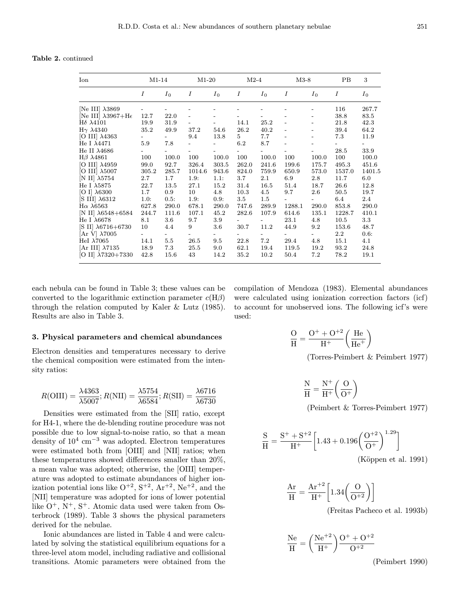Table 2. continued

| Ion                                  | $M1-14$ |         | $M1-20$ |         | $M2-4$ |       | $M3-8$                   |         | PB      | 3      |
|--------------------------------------|---------|---------|---------|---------|--------|-------|--------------------------|---------|---------|--------|
|                                      | I       | $I_0$   | Ι       | $I_0$   | Ι      | $I_0$ | Ι                        | $I_0$   | Ι       | $I_0$  |
| [Ne III] $\lambda$ 3869              |         |         |         |         |        |       |                          |         | 116     | 267.7  |
| [Ne III] $\lambda$ 3967+H $\epsilon$ | 12.7    | 22.0    |         |         |        |       |                          |         | 38.8    | 83.5   |
| $H\delta \lambda 4101$               | 19.9    | 31.9    |         |         | 14.1   | 25.2  | $\overline{\phantom{0}}$ |         | 21.8    | 42.3   |
| $H\gamma \lambda 4340$               | 35.2    | 49.9    | 37.2    | 54.6    | 26.2   | 40.2  |                          |         | 39.4    | 64.2   |
| [O III] $\lambda$ 4363               |         |         | 9.4     | 13.8    | 5      | 7.7   |                          |         | 7.3     | 11.9   |
| He I $\lambda$ 4471                  | 5.9     | 7.8     |         |         | 6.2    | 8.7   |                          | -       |         |        |
| He II $\lambda$ 4686                 |         |         |         |         |        |       |                          |         | 28.5    | 33.9   |
| $H\beta$ $\lambda$ 4861              | 100     | 100.0   | 100     | 100.0   | 100    | 100.0 | 100                      | 100.0   | 100     | 100.0  |
| [O III] $\lambda$ 4959               | 99.0    | 92.7    | 326.4   | 303.5   | 262.0  | 241.6 | 199.6                    | 175.7   | 495.3   | 451.6  |
| [O III] $\lambda$ 5007               | 305.2   | 285.7   | 1014.6  | 943.6   | 824.0  | 759.9 | 650.9                    | 573.0   | 1537.0  | 1401.5 |
| [N II] $\lambda 5754$                | 2.7     | 1.7     | 1.9:    | 1.1:    | 3.7    | 2.1   | 6.9                      | 2.8     | 11.7    | 6.0    |
| He I $\lambda$ 5875                  | 22.7    | 13.5    | 27.1    | 15.2    | 31.4   | 16.5  | 51.4                     | 18.7    | 26.6    | 12.8   |
| $[O I]$ $\lambda$ 6300               | $1.7\,$ | 0.9     | 10      | 4.8     | 10.3   | 4.5   | 9.7                      | $2.6\,$ | 50.5    | 19.7   |
| $[S \text{ III}]$ $\lambda 6312$     | 1.0:    | 0.5:    | 1.9:    | 0.9:    | 3.5    | 1.5   |                          |         | 6.4     | 2.4    |
| $H\alpha \lambda 6563$               | 627.8   | 290.0   | 678.1   | 290.0   | 747.6  | 289.9 | 1288.1                   | 290.0   | 853.8   | 290.0  |
| [N II] $\lambda$ 6548+6584           | 244.7   | 111.6   | 107.1   | 45.2    | 282.6  | 107.9 | 614.6                    | 135.1   | 1228.7  | 410.1  |
| He I $\lambda$ 6678                  | 8.1     | 3.6     | 9.7     | 3.9     |        |       | 23.1                     | 4.8     | 10.5    | 3.3    |
| $[S II] \lambda 6716 + 6730$         | 10      | 4.4     | 9       | $3.6\,$ | 30.7   | 11.2  | 44.9                     | $9.2\,$ | 153.6   | 48.7   |
| [Ar V] $\lambda$ 7005                |         |         |         |         |        |       |                          |         | $2.2\,$ | 0.6:   |
| HeI $\lambda$ 7065                   | 14.1    | $5.5\,$ | 26.5    | 9.5     | 22.8   | 7.2   | 29.4                     | 4.8     | 15.1    | 4.1    |
| [Ar III] $\lambda 7135$              | 18.9    | 7.3     | 25.5    | 9.0     | 62.1   | 19.4  | 119.5                    | 19.2    | 93.2    | 24.8   |
| [O II] $\lambda$ 7320+7330           | 42.8    | 15.6    | 43      | 14.2    | 35.2   | 10.2  | 50.4                     | 7.2     | 78.2    | 19.1   |

each nebula can be found in Table 3; these values can be converted to the logarithmic extinction parameter  $c(H\beta)$ through the relation computed by Kaler & Lutz  $(1985)$ . Results are also in Table 3.

#### 3. Physical parameters and chemical abundances

Electron densities and temperatures necessary to derive the chemical composition were estimated from the intensity ratios:

$$
R(\text{OIII}) = \frac{\lambda 4363}{\lambda 5007}; R(\text{NII}) = \frac{\lambda 5754}{\lambda 6584}; R(\text{SII}) = \frac{\lambda 6716}{\lambda 6730}
$$

Densities were estimated from the [SII] ratio, except for H4-1, where the de-blending routine procedure was not possible due to low signal-to-noise ratio, so that a mean density of  $10^4$  cm<sup>-3</sup> was adopted. Electron temperatures were estimated both from [OIII] and [NII] ratios; when these temperatures showed differences smaller than  $20\%$ , a mean value was adopted; otherwise, the [OIII] temperature was adopted to estimate abundances of higher ionization potential ions like  $O^{+2}$ ,  $S^{+2}$ ,  $Ar^{+2}$ ,  $Ne^{+2}$ , and the [NII] temperature was adopted for ions of lower potential like  $O^+$ ,  $N^+$ ,  $S^+$ . Atomic data used were taken from Osterbrock (1989). Table 3 shows the physical parameters derived for the nebulae.

Ionic abundances are listed in Table 4 and were calculated by solving the statistical equilibrium equations for a three-level atom model, including radiative and collisional transitions. Atomic parameters were obtained from the

$$
\frac{O}{H} = \frac{O^{+} + O^{+2}}{H^{+}} \left(\frac{He}{He^{+}}\right)
$$

(Torres-Peimbert & Peimbert 1977)

 $\frac{N}{H} = \frac{N^+}{H^+} \bigg( \frac{O}{O^+} \bigg)$ 

(Peimbert & Torres-Peimbert 1977)

$$
\frac{S}{H} = \frac{S^+ + S^{+2}}{H^+} \left[ 1.43 + 0.196 \left( \frac{O^{+2}}{O^+} \right)^{1.29} \right]
$$
\n(Können et al. 1991)

 $(K\ddot{o}ppen$  et al. 1991)

$$
\frac{\text{Ar}}{\text{H}} = \frac{\text{Ar}^{+2}}{\text{H}^{+}} \left[ 1.34 \left( \frac{\text{O}}{\text{O}^{+2}} \right) \right]
$$
\n(Freitas Pacheco et al. 1993b)

$$
\frac{\text{Ne}}{\text{H}} = \left(\frac{\text{Ne}^{+2}}{\text{H}^{+}}\right) \frac{\text{O}^{+} + \text{O}^{+2}}{\text{O}^{+2}}
$$
\n(Peimbert 1990)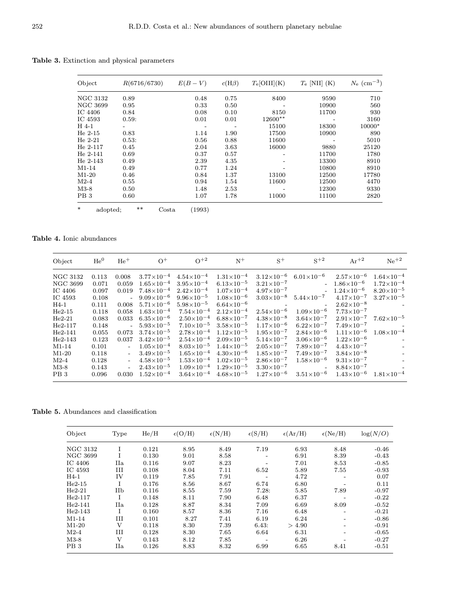Table 3. Extinction and physical parameters

| Object             | R(6716/6730)                    | $E(B-V)$ | $c(H\beta)$ | $T_e[OIII](K)$ | $T_e$ [NII] (K) | $N_{\rm e}$ (cm <sup>-3</sup> ) |
|--------------------|---------------------------------|----------|-------------|----------------|-----------------|---------------------------------|
| NGC 3132           | 0.89                            | 0.48     | 0.75        | 8400           | 9590            | 710                             |
| NGC 3699           | 0.95                            | 0.33     | 0.50        |                | 10900           | 560                             |
| IC 4406            | 0.84                            | 0.08     | 0.10        | 8150           | 11700           | 930                             |
| IC 4593            | 0.59:                           | 0.01     | 0.01        | $12600**$      |                 | 3160                            |
| H 4-1              |                                 |          |             | 15100          | 18300           | 10000*                          |
| $He 2-15$          | 0.83                            | 1.14     | 1.90        | 17500          | 10900           | 890                             |
| $He 2-21$          | 0.53:                           | 0.56     | 0.88        | 11600          |                 | 5010                            |
| $He 2-117$         | 0.45                            | 2.04     | 3.63        | 16000          | 9880            | 25120                           |
| $He 2-141$         | 0.69                            | 0.37     | 0.57        |                | 11700           | 1780                            |
| $He 2-143$         | 0.49                            | 2.39     | 4.35        |                | 13300           | 8910                            |
| $M1-14$            | 0.49                            | 0.77     | 1.24        |                | 10800           | 8910                            |
| $M1-20$            | 0.46                            | 0.84     | 1.37        | 13100          | 12500           | 17780                           |
| $M2-4$             | 0.55                            | 0.94     | 1.54        | 11600          | 12500           | 4470                            |
| $M3-8$             | 0.50                            | 1.48     | 2.53        |                | 12300           | 9330                            |
| PB <sub>3</sub>    | 0.60                            | 1.07     | 1.78        | 11000          | 11100           | 2820                            |
| $\ast$<br>adopted; | $***$<br>$\operatorname{Costa}$ | (1993)   |             |                |                 |                                 |

## Table 4. Ionic abundances

| Object          | $He^{0}$ | $He+$                       | $\Omega^+$            | $O^{+2}$              | $N^+$                 | $S^+$                    | $S+2$                                   | $Ar^{+2}$             | $Ne^{+2}$           |
|-----------------|----------|-----------------------------|-----------------------|-----------------------|-----------------------|--------------------------|-----------------------------------------|-----------------------|---------------------|
| NGC 3132        | 0.113    | 0.008                       | $3.77\times10^{-4}$   | $4.54 \times 10^{-4}$ | $1.31\times10^{-4}$   | $3.12\times10^{-6}$      | $6.01\times10^{-6}$                     | $2.57 \times 10^{-6}$ | $1.64\times10^{-4}$ |
| NGC 3699        | 0.071    | 0.059                       | $1.65\times10^{-4}$   | $3.95\times10^{-4}$   | $6.13\times10^{-5}$   | $3.21\times10^{-7}$      |                                         | $-1.86\times10^{-6}$  | $1.72\times10^{-4}$ |
| IC4406          | 0.097    | 0.019                       | $7.48\times10^{-4}$   | $2.42\times10^{-4}$   | $1.07\times10^{-4}$   | $4.97\times10^{-7}$      |                                         | $1.24\times10^{-6}$   | $8.20\times10^{-5}$ |
| IC 4593         | 0.108    |                             | $9.09\times10^{-6}$   | $9.96\times10^{-5}$   | $1.08\times10^{-6}$   |                          | $3.03\times10^{-8}$ $5.44\times10^{-7}$ | $4.17\times10^{-7}$   | $3.27\times10^{-5}$ |
| $H4-1$          | 0.111    | 0.008                       | $5.71\times10^{-6}$   | $5.98\times10^{-5}$   | $6.64\times10^{-6}$   | $\sim 10^{11}$ m $^{-1}$ |                                         | $2.62\times10^{-8}$   |                     |
| $He2-15$        | 0.118    | 0.058                       | $1.63\times10^{-4}$   | $7.54\times10^{-4}$   | $2.12\times10^{-4}$   | $2.54\times10^{-6}$      | $1.09\times10^{-6}$                     | $7.73 \times 10^{-7}$ |                     |
| $He2-21$        | 0.083    | 0.033                       | $6.35\times10^{-6}$   | $2.50\times10^{-4}$   | $6.88\times10^{-7}$   | $4.38\times10^{-8}$      | $3.64\times10^{-7}$                     | $2.91\times10^{-7}$   | $7.62\times10^{-5}$ |
| $He2-117$       | 0.148    |                             | $-5.93\times10^{-5}$  | $7.10\times10^{-5}$   | $3.58 \times 10^{-5}$ | $1.17\times10^{-6}$      | $6.22\times10^{-7}$                     | $7.49\times10^{-7}$   |                     |
| $He2-141$       | 0.055    | 0.073                       | $3.74 \times 10^{-5}$ | $2.78\times10^{-4}$   | $1.12\times10^{-5}$   | $1.95 \times 10^{-7}$    | $2.84\times10^{-6}$                     | $1.11\times10^{-6}$   | $1.08\times10^{-4}$ |
| $He2-143$       | 0.123    | 0.037                       | $3.42 \times 10^{-5}$ | $2.54\times10^{-4}$   | $2.09\times10^{-5}$   | $5.14\times10^{-7}$      | $3.06\times10^{-6}$                     | $1.22\times10^{-6}$   |                     |
| M1-14           | 0.101    | $\sim$                      | $1.05\times10^{-4}$   | $8.03\times10^{-5}$   | $1.44 \times 10^{-5}$ | $2.05\times10^{-7}$      | $7.89\times10^{-7}$                     | $4.43\times10^{-7}$   |                     |
| $M1-20$         | 0.118    | $\mathcal{L}^{\mathcal{A}}$ | $3.49 \times 10^{-5}$ | $1.65\times10^{-4}$   | $4.30\times10^{-6}$   | $1.85 \times 10^{-7}$    | $7.49\times10^{-7}$                     | $3.84\times10^{-8}$   |                     |
| $M2-4$          | 0.128    | $\mathcal{L}^{\mathcal{A}}$ | $4.58\times10^{-5}$   | $1.53\times10^{-4}$   | $1.02\times10^{-5}$   | $2.86\times10^{-7}$      | $1.58\times10^{-6}$                     | $9.31 \times 10^{-7}$ |                     |
| $M3-8$          | 0.143    | $\overline{\phantom{a}}$    | $2.43\times10^{-5}$   | $1.09\times10^{-4}$   | $1.29\times10^{-5}$   | $3.30\times10^{-7}$      |                                         | $8.84\times10^{-7}$   |                     |
| PB <sub>3</sub> | 0.096    | 0.030                       | $1.52\times10^{-4}$   | $3.64 \times 10^{-4}$ | $4.68\times10^{-5}$   | $1.27\times10^{-6}$      | $3.51\times10^{-6}$                     | $1.43\times10^{-6}$   | $1.81\times10^{-4}$ |

Table 5. Abundances and classification

| Object          | Type | He/H  | $\epsilon$ (O/H) | $\epsilon(N/H)$ | $\epsilon(S/H)$ | $\epsilon(Ar/H)$ | $\epsilon(Ne/H)$ | log(N/O) |
|-----------------|------|-------|------------------|-----------------|-----------------|------------------|------------------|----------|
| NGC 3132        | 1    | 0.121 | 8.95             | 8.49            | 7.19            | 6.93             | 8.48             | $-0.46$  |
| NGC 3699        | Ι    | 0.130 | 9.01             | 8.58            |                 | 6.91             | 8.39             | $-0.43$  |
| IC 4406         | IIa  | 0.116 | 9.07             | 8.23            |                 | 7.01             | 8.53             | $-0.85$  |
| IC 4593         | Ш    | 0.108 | 8.04             | 7.11            | 6.52            | 5.89             | 7.55             | $-0.93$  |
| H4-1            | IV   | 0.119 | 7.85             | 7.91            |                 | 4.72             |                  | 0.07     |
| $He2-15$        | T    | 0.176 | 8.56             | 8.67            | 6.74            | 6.80             |                  | 0.11     |
| $He2-21$        | IIb  | 0.116 | 8.55             | 7.59            | 7.28:           | 5.85             | 7.89             | $-0.97$  |
| $He2-117$       | T    | 0.148 | 8.11             | 7.90            | 6.48            | 6.37             |                  | $-0.22$  |
| $He2-141$       | IIa  | 0.128 | 8.87             | 8.34            | 7.09            | 6.69             | 8.09             | $-0.52$  |
| $He2-143$       | T    | 0.160 | 8.57             | 8.36            | 7.16            | 6.48             |                  | $-0.21$  |
| M1-14           | Ш    | 0.101 | 8.27             | 7.41            | 6.19            | 6.24             |                  | $-0.86$  |
| $M1-20$         | V    | 0.118 | 8.30             | 7.39            | 6.43:           | > 4.90           |                  | $-0.91$  |
| $M2-4$          | Ш    | 0.128 | 8.30             | 7.65            | 6.64            | 6.31             |                  | $-0.65$  |
| $M3-8$          | V    | 0.143 | 8.12             | 7.85            |                 | 6.26             |                  | $-0.27$  |
| PB <sub>3</sub> | IIa  | 0.126 | 8.83             | 8.32            | 6.99            | 6.65             | 8.41             | $-0.51$  |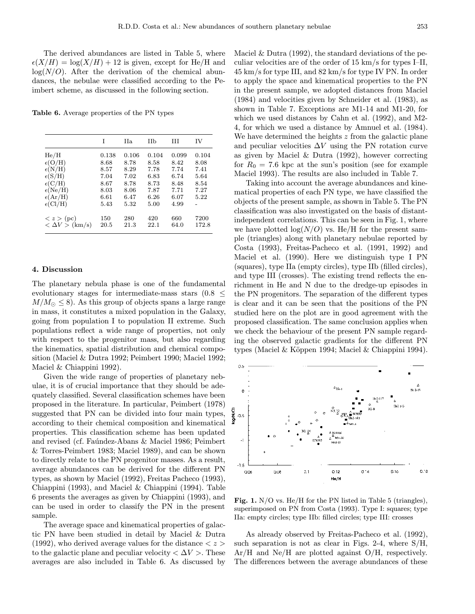The derived abundances are listed in Table 5, where  $\epsilon(X/H) = \log(X/H) + 12$  is given, except for He/H and  $log(N/O)$ . After the derivation of the chemical abundances, the nebulae were classified according to the Peimbert scheme, as discussed in the following section.

Table 6. Average properties of the PN types

|                                                                                                                            | T                                                     | Ha.                                                   | Нb                                                    | Ħ                                                     | ΙV                                                    |
|----------------------------------------------------------------------------------------------------------------------------|-------------------------------------------------------|-------------------------------------------------------|-------------------------------------------------------|-------------------------------------------------------|-------------------------------------------------------|
| He/H<br>$\epsilon (O/H)$<br>$\epsilon(N/H)$<br>$\epsilon(S/H)$<br>$\epsilon$ (C/H)<br>$\epsilon(Ne/H)$<br>$\epsilon(Ar/H)$ | 0.138<br>8.68<br>8.57<br>7.04<br>8.67<br>8.03<br>6.61 | 0.106<br>8.78<br>8.29<br>7.02<br>8.78<br>8.06<br>6.47 | 0.104<br>8.58<br>7.78<br>6.83<br>8.73<br>7.87<br>6.26 | 0.099<br>8.42<br>7.74<br>6.74<br>8.48<br>7.71<br>6.07 | 0.104<br>8.08<br>7.41<br>5.64<br>8.54<br>7.27<br>5.22 |
| $\epsilon$ (Cl/H)<br>$\langle z \rangle$ (pc)<br>$\langle \Delta V \rangle$ (km/s)                                         | 5.43<br>150<br>20.5                                   | 5.32<br>280<br>21.3                                   | 5.00<br>420<br>22.1                                   | 4.99<br>660<br>64.0                                   | 7200<br>172.8                                         |
|                                                                                                                            |                                                       |                                                       |                                                       |                                                       |                                                       |

#### 4. Discussion

The planetary nebula phase is one of the fundamental evolutionary stages for intermediate-mass stars  $(0.8 \le$  $M/M_{\odot} \leq 8$ ). As this group of objects spans a large range in mass, it constitutes a mixed population in the Galaxy, going from population I to population II extreme. Such populations reflect a wide range of properties, not only with respect to the progenitor mass, but also regarding the kinematics, spatial distribution and chemical composition (Maciel & Dutra 1992; Peimbert 1990; Maciel 1992; Maciel & Chiappini 1992).

Given the wide range of properties of planetary nebulae, it is of crucial importance that they should be adequately classified. Several classification schemes have been proposed in the literature. In particular, Peimbert (1978) suggested that PN can be divided into four main types, according to their chemical composition and kinematical properties. This classification scheme has been updated and revised (cf. Faúndez-Abans & Maciel 1986; Peimbert & Torres-Peimbert 1983; Maciel 1989), and can be shown to directly relate to the PN progenitor masses. As a result, average abundances can be derived for the different PN types, as shown by Maciel (1992), Freitas Pacheco (1993), Chiappini (1993), and Maciel & Chiappini (1994). Table 6 presents the averages as given by Chiappini (1993), and can be used in order to classify the PN in the present sample.

The average space and kinematical properties of galactic PN have been studied in detail by Maciel & Dutra (1992), who derived average values for the distance  $\langle z \rangle$ to the galactic plane and peculiar velocity  $\langle \Delta V \rangle$ . These averages are also included in Table 6. As discussed by Maciel & Dutra (1992), the standard deviations of the peculiar velocities are of the order of 15 km/s for types I–II, 45 km/s for type III, and 82 km/s for type IV PN. In order to apply the space and kinematical properties to the PN in the present sample, we adopted distances from Maciel (1984) and velocities given by Schneider et al. (1983), as shown in Table 7. Exceptions are M1-14 and M1-20, for which we used distances by Cahn et al. (1992), and M2- 4, for which we used a distance by Amnuel et al. (1984). We have determined the heights  $z$  from the galactic plane and peculiar velocities  $\Delta V$  using the PN rotation curve as given by Maciel & Dutra (1992), however correcting for  $R_0 = 7.6$  kpc at the sun's position (see for example Maciel 1993). The results are also included in Table 7.

Taking into account the average abundances and kinematical properties of each PN type, we have classified the objects of the present sample, as shown in Table 5. The PN classification was also investigated on the basis of distantindependent correlations. This can be seen in Fig. 1, where we have plotted  $log(N/O)$  vs. He/H for the present sample (triangles) along with planetary nebulae reported by Costa (1993), Freitas-Pacheco et al. (1991, 1992) and Maciel et al. (1990). Here we distinguish type I PN (squares), type IIa (empty circles), type IIb (filled circles), and type III (crosses). The existing trend reflects the enrichment in He and N due to the dredge-up episodes in the PN progenitors. The separation of the different types is clear and it can be seen that the positions of the PN studied here on the plot are in good agreement with the proposed classification. The same conclusion applies when we check the behaviour of the present PN sample regarding the observed galactic gradients for the different PN types (Maciel & Köppen 1994; Maciel & Chiappini 1994).



Fig. 1. N/O vs. He/H for the PN listed in Table 5 (triangles), superimposed on PN from Costa (1993). Type I: squares; type IIa: empty circles; type IIb: filled circles; type III: crosses

As already observed by Freitas-Pacheco et al. (1992), such separation is not as clear in Figs. 2-4, where S/H, Ar/H and Ne/H are plotted against O/H, respectively. The differences between the average abundances of these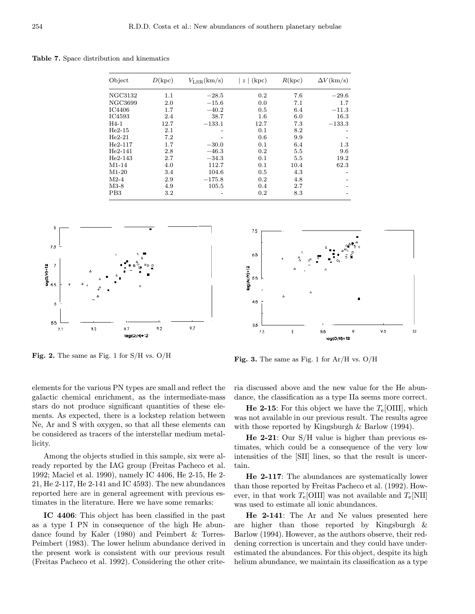Table 7. Space distribution and kinematics

| Object          | D(kpc)  | $V_{\rm LSR}(\rm km/s)$ | $z \mid (kpc)$ | R(kpc) | $\Delta V(\rm km/s)$ |
|-----------------|---------|-------------------------|----------------|--------|----------------------|
| NGC3132         | $1.1\,$ | $-28.5$                 | 0.2            | 7.6    | $-29.6$              |
| NGC3699         | 2.0     | $-15.6$                 | 0.0            | 7.1    | 1.7                  |
| IC4406          | 1.7     | $-40.2$                 | 0.5            | 6.4    | $-11.3$              |
| IC4593          | 2.4     | 38.7                    | $1.6\,$        | 6.0    | 16.3                 |
| $H4-1$          | 12.7    | $-133.1$                | 12.7           | 7.3    | $-133.3$             |
| $He2-15$        | 2.1     | -                       | 0.1            | 8.2    |                      |
| $He2-21$        | 7.2     |                         | 0.6            | 9.9    |                      |
| $He2-117$       | 1.7     | $-30.0$                 | 0.1            | 6.4    | 1.3                  |
| $He2-141$       | 2.8     | $-46.3$                 | 0.2            | 5.5    | 9.6                  |
| $He2-143$       | 2.7     | $-34.3$                 | 0.1            | 5.5    | 19.2                 |
| $M1-14$         | 4.0     | 112.7                   | 0.1            | 10.4   | 62.3                 |
| $M1-20$         | 3.4     | 104.6                   | 0.5            | 4.3    |                      |
| $M2-4$          | 2.9     | $-175.8$                | 0.2            | 4.8    |                      |
| $M3-8$          | 4.9     | 105.5                   | 0.4            | 2.7    |                      |
| PB <sub>3</sub> | $3.2\,$ |                         | 0.2            | 8.3    |                      |



Fig. 2. The same as Fig. 1 for S/H vs. O/H

elements for the various PN types are small and reflect the galactic chemical enrichment, as the intermediate-mass stars do not produce significant quantities of these elements. As expected, there is a lockstep relation between Ne, Ar and S with oxygen, so that all these elements can be considered as tracers of the interstellar medium metallicity.

Among the objects studied in this sample, six were already reported by the IAG group (Freitas Pacheco et al. 1992; Maciel et al. 1990), namely IC 4406, He 2-15, He 2- 21, He 2-117, He 2-141 and IC 4593). The new abundances reported here are in general agreement with previous estimates in the literature. Here we have some remarks:

IC 4406: This object has been classified in the past as a type I PN in consequence of the high He abundance found by Kaler (1980) and Peimbert & Torres-Peimbert (1983). The lower helium abundance derived in the present work is consistent with our previous result (Freitas Pacheco et al. 1992). Considering the other crite-



Fig. 3. The same as Fig. 1 for  $Ar/H$  vs.  $O/H$ 

ria discussed above and the new value for the He abundance, the classification as a type IIa seems more correct.

**He 2-15:** For this object we have the  $T_e$ [OIII], which was not available in our previous result. The results agree with those reported by Kingsburgh & Barlow (1994).

He 2-21: Our S/H value is higher than previous estimates, which could be a consequence of the very low intensities of the [SII] lines, so that the result is uncertain.

He 2-117: The abundances are systematically lower than those reported by Freitas Pacheco et al. (1992). However, in that work  $T_{e}$ [OIII] was not available and  $T_{e}$ [NII] was used to estimate all ionic abundances.

He 2-141: The Ar and Ne values presented here are higher than those reported by Kingsburgh & Barlow (1994). However, as the authors observe, their reddening correction is uncertain and they could have underestimated the abundances. For this object, despite its high helium abundance, we maintain its classification as a type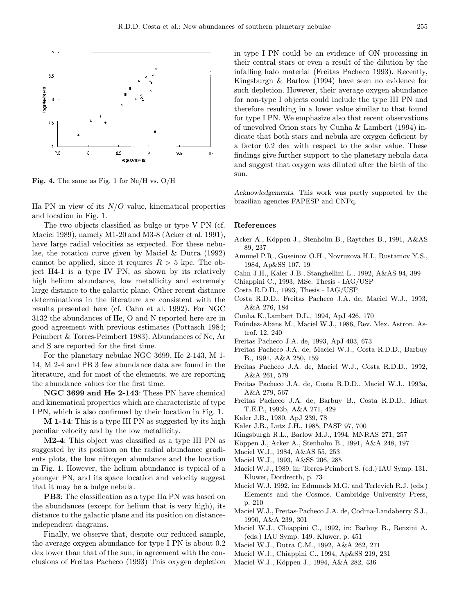

Fig. 4. The same as Fig. 1 for  $Ne/H$  vs.  $O/H$ 

IIa PN in view of its  $N/O$  value, kinematical properties and location in Fig. 1.

The two objects classified as bulge or type V PN (cf. Maciel 1989), namely M1-20 and M3-8 (Acker et al. 1991), have large radial velocities as expected. For these nebulae, the rotation curve given by Maciel & Dutra (1992) cannot be applied, since it requires  $R > 5$  kpc. The object H4-1 is a type IV PN, as shown by its relatively high helium abundance, low metallicity and extremely large distance to the galactic plane. Other recent distance determinations in the literature are consistent with the results presented here (cf. Cahn et al. 1992). For NGC 3132 the abundances of He, O and N reported here are in good agreement with previous estimates (Pottasch 1984; Peimbert & Torres-Peimbert 1983). Abundances of Ne, Ar and S are reported for the first time.

For the planetary nebulae NGC 3699, He 2-143, M 1- 14, M 2-4 and PB 3 few abundance data are found in the literature, and for most of the elements, we are reporting the abundance values for the first time.

NGC 3699 and He 2-143: These PN have chemical and kinematical properties which are characteristic of type I PN, which is also confirmed by their location in Fig. 1.

M 1-14: This is a type III PN as suggested by its high peculiar velocity and by the low metallicity.

M2-4: This object was classified as a type III PN as suggested by its position on the radial abundance gradients plots, the low nitrogen abundance and the location in Fig. 1. However, the helium abundance is typical of a younger PN, and its space location and velocity suggest that it may be a bulge nebula.

PB3: The classification as a type IIa PN was based on the abundances (except for helium that is very high), its distance to the galactic plane and its position on distanceindependent diagrams.

Finally, we observe that, despite our reduced sample, the average oxygen abundance for type I PN is about 0.2 dex lower than that of the sun, in agreement with the conclusions of Freitas Pacheco (1993) This oxygen depletion in type I PN could be an evidence of ON processing in their central stars or even a result of the dilution by the infalling halo material (Freitas Pacheco 1993). Recently, Kingsburgh & Barlow (1994) have seen no evidence for such depletion. However, their average oxygen abundance for non-type I objects could include the type III PN and therefore resulting in a lower value similar to that found for type I PN. We emphasize also that recent observations of unevolved Orion stars by Cunha & Lambert (1994) indicate that both stars and nebula are oxygen deficient by a factor 0.2 dex with respect to the solar value. These findings give further support to the planetary nebula data and suggest that oxygen was diluted after the birth of the sun.

Acknowledgements. This work was partly supported by the brazilian agencies FAPESP and CNPq.

### References

- Acker A., Köppen J., Stenholm B., Raytches B., 1991, A&AS 89, 237
- Amnuel P.R., Guseinov O.H., Novruzova H.I., Rustamov Y.S., 1984, Ap&SS 107, 19
- Cahn J.H., Kaler J.B., Stanghellini L., 1992, A&AS 94, 399
- Chiappini C., 1993, MSc. Thesis IAG/USP
- Costa R.D.D., 1993, Thesis IAG/USP
- Costa R.D.D., Freitas Pacheco J.A. de, Maciel W.J., 1993, A&A 276, 184
- Cunha K.,Lambert D.L., 1994, ApJ 426, 170
- Faúndez-Abans M., Maciel W.J., 1986, Rev. Mex. Astron. Astrof. 12, 240
- Freitas Pacheco J.A. de, 1993, ApJ 403, 673
- Freitas Pacheco J.A. de, Maciel W.J., Costa R.D.D., Barbuy B., 1991, A&A 250, 159
- Freitas Pacheco J.A. de, Maciel W.J., Costa R.D.D., 1992, A&A 261, 579
- Freitas Pacheco J.A. de, Costa R.D.D., Maciel W.J., 1993a, A&A 279, 567
- Freitas Pacheco J.A. de, Barbuy B., Costa R.D.D., Idiart T.E.P., 1993b, A&A 271, 429
- Kaler J.B., 1980, ApJ 239, 78
- Kaler J.B., Lutz J.H., 1985, PASP 97, 700
- Kingsburgh R.L., Barlow M.J., 1994, MNRAS 271, 257
- Köppen J., Acker A., Stenholm B., 1991, A&A 248, 197
- Maciel W.J., 1984, A&AS 55, 253
- Maciel W.J., 1993, A&SS 206, 285
- Maciel W.J., 1989, in: Torres-Peimbert S. (ed.) IAU Symp. 131. Kluwer, Dordrecth, p. 73
- Maciel W.J. 1992, in: Edmunds M.G. and Terlevich R.J. (eds.) Elements and the Cosmos. Cambridge University Press, p. 210
- Maciel W.J., Freitas-Pacheco J.A. de, Codina-Landaberry S.J., 1990, A&A 239, 301
- Maciel W.J., Chiappini C., 1992, in: Barbuy B., Renzini A. (eds.) IAU Symp. 149. Kluwer, p. 451
- Maciel W.J., Dutra C.M., 1992, A&A 262, 271
- Maciel W.J., Chiappini C., 1994, Ap&SS 219, 231
- Maciel W.J., Köppen J., 1994, A&A 282, 436